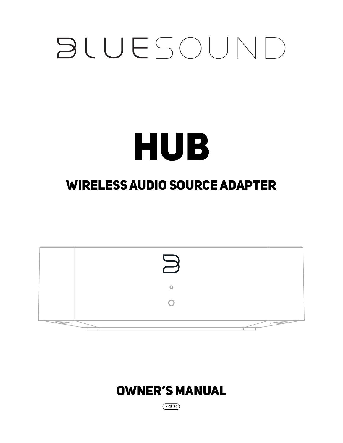# **BLUESOUND**

# HUB

# WIRELESS AUDIO SOURCE ADAPTER



# OWNER'S MANUAL

 $(x$ CB130)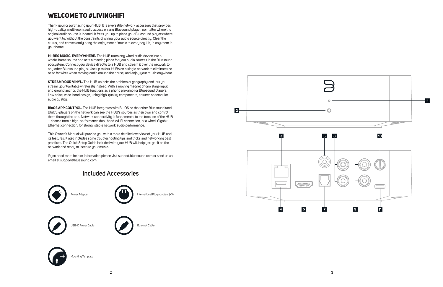## WELCOME TO #LIVINGHIFI

Thank you for purchasing your HUB. It is a versatile network accessory that provides high-quality, multi-room audio access on any Bluesound player, no matter where the original audio source is located. It frees you up to place your Bluesound players where you want to, without the constraints of wiring your audio source directly. Clear the clutter, and conveniently bring the enjoyment of music to everyday life, in any room in your home.

**HI-RES MUSIC. EVERYWHERE.** The HUB turns any wired audio device into a whole-home source and acts a meeting place for your audio sources in the Bluesound ecosystem. Connect your device directly to a HUB and stream it over the network to any other Bluesound player. Use up to four HUBs on a single network to eliminate the need for wires when moving audio around the house, and enjoy your music anywhere.

**STREAM YOUR VINYL.** The HUB unlocks the problem of geography and lets you stream your turntable wirelessly instead. With a moving magnet phono stage input and ground anchor, the HUB functions as a phono pre-amp for Bluesound players. Low noise, wide-band design, using high-quality components, ensures spectacular audio quality.

**BluOS APP CONTROL.** The HUB integrates with BluOS so that other Bluesound (and BluOS) players on the network can see the HUB's sources as their own and control them through the app. Network connectivity is fundamental to the function of the HUB – choose from a high-performance dual-band Wi-Fi connection, or a wired, Gigabit Ethernet connection, for strong, stable network audio performance.

This Owner's Manual will provide you with a more detailed overview of your HUB and its features. It also includes some troubleshooting tips and tricks and networking best practices. The Quick Setup Guide included with your HUB will help you get it on the network and ready to listen to your music.

If you need more help or information please visit support.bluesound.com or send us an email at support@bluesound.com

### **Included Accessories**





Mounting Template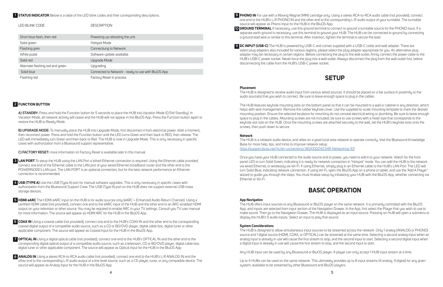**A) STANDBY:** Press and hold the Function button for 5 seconds to place the HUB into Vacation Mode (0.5W Standby). In Vacation Mode, all network activity will cease and the HUB will not appear in the BluOS App. Press the Function button again to restore the HUB to Ready Mode.

**B) UPGRADE MODE:** To manually place the HUB into Upgrade Mode, first disconnect it from electrical power. Wait a moment, then reconnect power. Press and hold the Function button until the LED turns Green and then back to RED, then release. The LED will immediately turn Green and then back to Red. The HUB is now in Upgrade Mode. This is only necessary in specific cases with authorization from a Bluesound support representative.

**C) FACTORY RESET:** more information on Factory Reset is available later in this manual

#### **STATUS INDICATOR** Below is a table of the LED blink codes and their corresponding descriptions. **1**

#### **FUNCTION BUTTON 2**

- **LAN PORT** To setup the HUB using the LAN Port a Wired Ethernet connection is required. Using the Ethernet cable provided, **3** connect one end of the Ethernet cable to the LAN port of your wired Ethernet broadband router and the other end to the POWERNODE's LAN port. The LAN PORT is an optional connection, but for the best network performance an Ethernet connection is recommended.
- **USB (TYPE A)** Use the USB (Type A) port for manual software upgrades. This is only necessary in specific cases with **4** authorization from the Bluesound Support Crew. The USB (Type A) port on the HUB does not support external USB mass storage devices.
- **HDMI eARC** The HDMI eARC input on the HUB is for audio sources only (eARC = Enhanced Audio Return Channel). Using a **5** certified HDMI cable (not provided), connect one end to the eARC input of the HUB and the other end to an ARC-enabled HDMI output on your television or other source. You may be required to enable ARC in your TV settings. Consult you TV user manual for more information. The source will appear as HDMI ARC for the HUB in the BluOS App.
- **COAX IN** Using a coaxial cable (not provided), connect one end to the HUB's COAX IN and the other end to the corresponding **6** coaxial digital output of a compatible audio source, such as a CD or BD/DVD player, digital cable box, digital tuner or other applicable component. The source will appear as Coaxial Input for the HUB in the BluOS App.
- **OPTICAL IN** Using a digital optical cable (not provided), connect one end to the HUB's OPTICAL IN and the other end to the **7** corresponding digital optical output of a compatible audio source, such as a television, CD or BD/DVD player, digital cable box, digital tuner or other applicable component. The source will appear as Optical Input for the HUB in the BluOS App.
- **ANALOG IN** Using a stereo RCA-to-RCA audio cable (not provided), connect one end to the HUB's L-R ANALOG IN and the **8** other end to the corresponding L-R audio output of a line level source, such as a CD player, tuner, or any compatible device. The source will appear as Analog Input for the HUB in the BluOS App.

| LED BLINK CODE                   | <b>DESCRIPTION</b>                                 |
|----------------------------------|----------------------------------------------------|
| Short blue flash, then red       | Powering up rebooting the unit                     |
| Solid green                      | Hotspot Mode                                       |
| Flashing gren                    | Connectiung to Network                             |
| White pulse                      | Software update available                          |
| Solid red                        | Upgrade Mode                                       |
| Alternate flashing red and green | Upgrading                                          |
| Solid blue                       | Connected to Network - ready to use with BluOS App |
| Flashing red                     | Factory Reset in process                           |

**PHONO IN** For use with a Moving Magnet (MM) cartridge only. Using a stereo RCA-to-RCA audio cable (not provided), connect **9**  one end to the HUB's L-R PHONO IN and the other end to the corresponding L-R audio output of your turntable. The turntable source will appear as Phono Input for the HUB in the BluOS App. **GROUND TERMINAL** If necessary, use this ground terminal to connect to ground a turntable source for the PHONO input. If a **10** separate earth ground is necessary, use this terminal to ground your HUB. The HUB can be connected to ground by connecting a ground lead wire or similar to this terminal. After insertion, tighten the terminal to secure the lead.

**DC INPUT (USB-C)** The HUB is powered by USB-C and comes supplied with a USB-C cable and wall adapter. There are **11** disconnecting the cable from the HUB's USB-C power socket.

select plug adapters also included for various regions; please select the plug adapter appropriate for you. An alternative plug adapter may be necessary in certain regions. Before connecting the plug to the wall outlet, firmly connect the power cable to the HUB's USB-C power socket. Never force the plug into a wall outlet. Always disconnect the plug from the wall outlet first, before

## **SETUP**

#### **Placement**

The HUB is designed to receive audio input from various wired sources. It should be placed on a flat surface in proximity to the audio source(s) that you wish to connect. Be sure to leave enough space to plug in the cables.

The HUB features keyhole mounting slots on the bottom panel so that it can be mounted to a wall or cabinet in any direction, which helps with wire management. Remove the rubber keyhole cover. Use the supplied to-scale mounting template to mark the desired mounting position. Ensure the selected locations for mounting do not conceal electrical wiring or plumbing. Be sure to leave enough space to plug in the cables. Mounting screws are not included; be sure to use screws with a head-size that corresponds to the keyhole slot size on the HUB. Once the mounting screws are attached securely to the wall, set the HUB's keyhole slots onto the screws, then push down to secure.

#### **Network**

The HUB is a network audio device, and relies on a good local area network to operate correctly. Visit the Bluesound Knowledge Base for more help, tips, and tricks to improve network setup. <https://support.bluos.net/hc/en-us/sections/360000042348-Networking-101>

Once you have your HUB connected to the audio source and to power, you need to add it to your network. Watch for the front panel LED to turn Solid Green, indicating it is ready for network connection in 'Hotspot' mode. You can add the HUB to the network via wired Ethernet, or wirelessly via Wi-Fi. If using Ethernet, simply plug in an Ethernet cable to the HUB's LAN Port. The LED will turn Solid Blue, indicating network connection. If using Wi-Fi, open the BluOS App on a phone or tablet, and use the 'Add A Player' wizard to guide you through the steps. You must finalize setup by initializing your HUB with the BluOS App, whether connecting via Ethernet or Wi-Fi.

## **BASIC OPERATION**

#### **App Navigation**

The HUB offers input sources to any Bluesound or BluOS player on the same network. It is primarily controlled with the BluOS App, and inputs are selected from input section of the Navigation Drawer. In the App, first select the Player that you wish to use to make sound. Then go to the Navigation Drawer. The HUB is displayed as an input source. Pressing on HUB will open a submenu to display the HUB's 5 audio inputs. Select an input to play that source.

#### **System Considerations**

The HUB is designed to allow simultaneous input sources to be streamed across the network. Only 1 analog (ANALOG or PHONO) source and 1 digital source (HDMI, COAX, or OPTICAL) can be streamed at the same time. Selecting a second analog input when an analog input is already in use will cause the first stream to stop, and the second input to start. Selecting a second digital input when a digital input is already in use will cause the first stream to stop, and the second input to start.

Any HUB input can be used by any Bluesound or BluOS player. A player can only accept 1 HUB input stream at a time.

Up to 4 HUBs can be used on the same network. This ultimately provides up to 8 input streams (4 analog, 4 digital) for any given system, available to be streamed by other Bluesound and BluOS players.